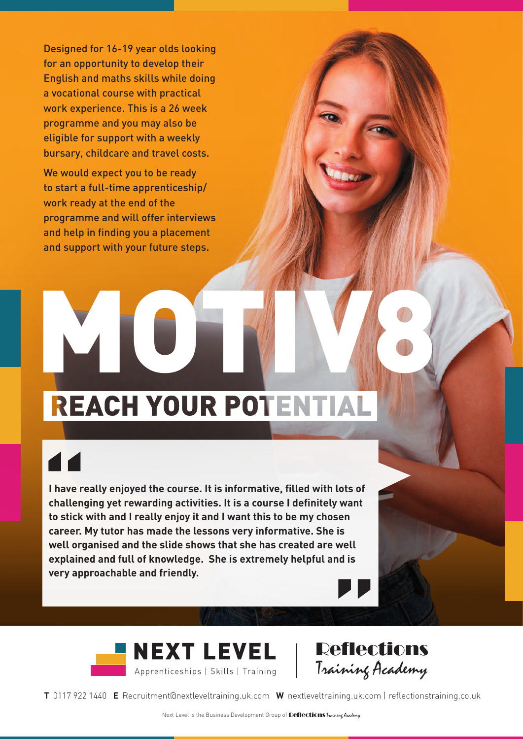Designed for 16-19 year olds looking for an opportunity to develop their English and maths skills while doing a vocational course with practical work experience. This is a 26 week programme and you may also be eligible for support with a weekly bursary, childcare and travel costs.

We would expect you to be ready to start a full-time apprenticeship/ work ready at the end of the programme and will offer interviews and help in finding you a placement and support with your future steps.

## MOTIVE A

**I have really enjoyed the course. It is informative, filled with lots of challenging yet rewarding activities. It is a course I definitely want to stick with and I really enjoy it and I want this to be my chosen career. My tutor has made the lessons very informative. She is well organised and the slide shows that she has created are well explained and full of knowledge. She is extremely helpful and is very approachable and friendly.**





**T** 0117 922 1440 **E** [Recruitment@nextleveltraining.uk.com](mailto:Recruitment@nextleveltraining.uk.com) **W** nextleveltraining.uk.com | reflectionstraining.co.uk